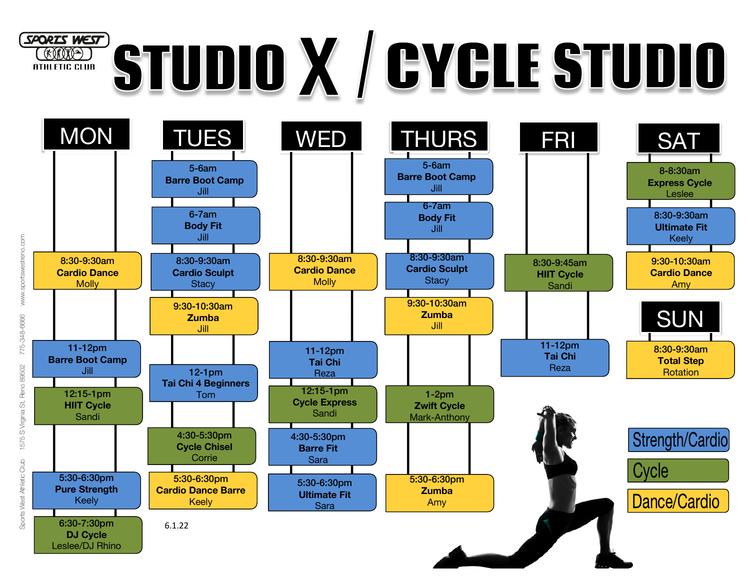# SPORIS WEST STUDIO X / GYGLE STUDIO **EXAMP ATHLETIC CLUB**